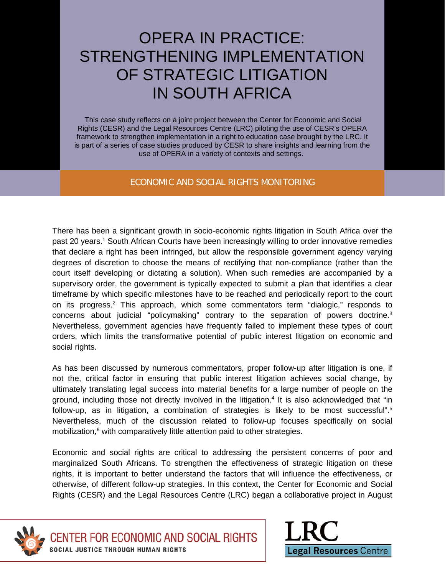# OPERA IN PRACTICE: STRENGTHENING IMPLEMENTATION OF STRATEGIC LITIGATION IN SOUTH AFRICA

This case study reflects on a joint project between the Center for Economic and Social Rights (CESR) and the Legal Resources Centre (LRC) piloting the use of CESR's OPERA framework to strengthen implementation in a right to education case brought by the LRC. It is part of a series of case studies produced by CESR to share insights and learning from the use of OPERA in a variety of contexts and settings.

#### ECONOMIC AND SOCIAL RIGHTS MONITORING

There has been a significant growth in socio-economic rights litigation in South Africa over the past 20 years. <sup>1</sup> South African Courts have been increasingly willing to order innovative remedies that declare a right has been infringed, but allow the responsible government agency varying degrees of discretion to choose the means of rectifying that non-compliance (rather than the court itself developing or dictating a solution). When such remedies are accompanied by a supervisory order, the government is typically expected to submit a plan that identifies a clear timeframe by which specific milestones have to be reached and periodically report to the court on its progress.<sup>2</sup> This approach, which some commentators term "dialogic," responds to concerns about judicial "policymaking" contrary to the separation of powers doctrine. 3 Nevertheless, government agencies have frequently failed to implement these types of court orders, which limits the transformative potential of public interest litigation on economic and social rights.

As has been discussed by numerous commentators, proper follow-up after litigation is one, if not the, critical factor in ensuring that public interest litigation achieves social change, by ultimately translating legal success into material benefits for a large number of people on the ground, including those not directly involved in the litigation.<sup>4</sup> It is also acknowledged that "in follow-up, as in litigation, a combination of strategies is likely to be most successful". 5 Nevertheless, much of the discussion related to follow-up focuses specifically on social mobilization, $6$  with comparatively little attention paid to other strategies.

Economic and social rights are critical to addressing the persistent concerns of poor and marginalized South Africans. To strengthen the effectiveness of strategic litigation on these rights, it is important to better understand the factors that will influence the effectiveness, or otherwise, of different follow-up strategies. In this context, the Center for Economic and Social Rights (CESR) and the Legal Resources Centre (LRC) began a collaborative project in August





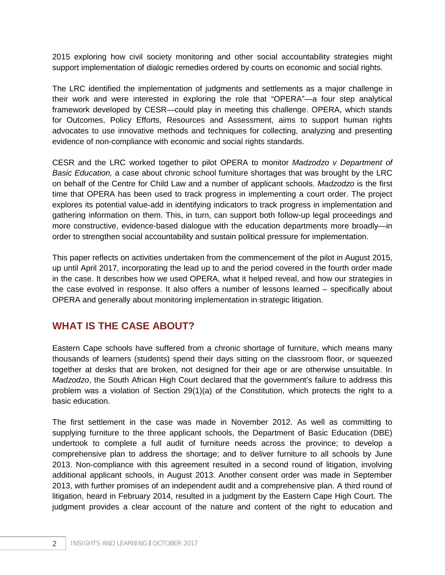2015 exploring how civil society monitoring and other social accountability strategies might support implementation of dialogic remedies ordered by courts on economic and social rights.

The LRC identified the implementation of judgments and settlements as a major challenge in their work and were interested in exploring the role that "OPERA"—a four step analytical framework developed by CESR—could play in meeting this challenge. OPERA, which stands for Outcomes, Policy Efforts, Resources and Assessment, aims to support human rights advocates to use innovative methods and techniques for collecting, analyzing and presenting evidence of non-compliance with economic and social rights standards.

CESR and the LRC worked together to pilot OPERA to monitor *Madzodzo v Department of Basic Education,* a case about chronic school furniture shortages that was brought by the LRC on behalf of the Centre for Child Law and a number of applicant schools. *Madzodzo* is the first time that OPERA has been used to track progress in implementing a court order. The project explores its potential value-add in identifying indicators to track progress in implementation and gathering information on them. This, in turn, can support both follow-up legal proceedings and more constructive, evidence-based dialogue with the education departments more broadly—in order to strengthen social accountability and sustain political pressure for implementation.

This paper reflects on activities undertaken from the commencement of the pilot in August 2015, up until April 2017, incorporating the lead up to and the period covered in the fourth order made in the case. It describes how we used OPERA, what it helped reveal, and how our strategies in the case evolved in response. It also offers a number of lessons learned – specifically about OPERA and generally about monitoring implementation in strategic litigation.

## **WHAT IS THE CASE ABOUT?**

Eastern Cape schools have suffered from a chronic shortage of furniture, which means many thousands of learners (students) spend their days sitting on the classroom floor, or squeezed together at desks that are broken, not designed for their age or are otherwise unsuitable. In *Madzodzo*, the South African High Court declared that the government's failure to address this problem was a violation of Section 29(1)(a) of the Constitution, which protects the right to a basic education.

The first settlement in the case was made in November 2012. As well as committing to supplying furniture to the three applicant schools, the Department of Basic Education (DBE) undertook to complete a full audit of furniture needs across the province; to develop a comprehensive plan to address the shortage; and to deliver furniture to all schools by June 2013. Non-compliance with this agreement resulted in a second round of litigation, involving additional applicant schools, in August 2013. Another consent order was made in September 2013, with further promises of an independent audit and a comprehensive plan. A third round of litigation, heard in February 2014, resulted in a judgment by the Eastern Cape High Court. The judgment provides a clear account of the nature and content of the right to education and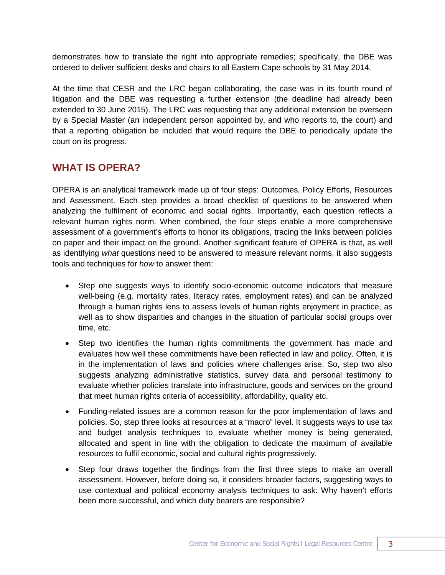demonstrates how to translate the right into appropriate remedies; specifically, the DBE was ordered to deliver sufficient desks and chairs to all Eastern Cape schools by 31 May 2014.

At the time that CESR and the LRC began collaborating, the case was in its fourth round of litigation and the DBE was requesting a further extension (the deadline had already been extended to 30 June 2015). The LRC was requesting that any additional extension be overseen by a Special Master (an independent person appointed by, and who reports to, the court) and that a reporting obligation be included that would require the DBE to periodically update the court on its progress.

## **WHAT IS OPERA?**

OPERA is an analytical framework made up of four steps: Outcomes, Policy Efforts, Resources and Assessment. Each step provides a broad checklist of questions to be answered when analyzing the fulfilment of economic and social rights. Importantly, each question reflects a relevant human rights norm. When combined, the four steps enable a more comprehensive assessment of a government's efforts to honor its obligations, tracing the links between policies on paper and their impact on the ground. Another significant feature of OPERA is that, as well as identifying *what* questions need to be answered to measure relevant norms, it also suggests tools and techniques for *how* to answer them:

- Step one suggests ways to identify socio-economic outcome indicators that measure well-being (e.g. mortality rates, literacy rates, employment rates) and can be analyzed through a human rights lens to assess levels of human rights enjoyment in practice, as well as to show disparities and changes in the situation of particular social groups over time, etc.
- Step two identifies the human rights commitments the government has made and evaluates how well these commitments have been reflected in law and policy. Often, it is in the implementation of laws and policies where challenges arise. So, step two also suggests analyzing administrative statistics, survey data and personal testimony to evaluate whether policies translate into infrastructure, goods and services on the ground that meet human rights criteria of accessibility, affordability, quality etc.
- Funding-related issues are a common reason for the poor implementation of laws and policies. So, step three looks at resources at a "macro" level. It suggests ways to use tax and budget analysis techniques to evaluate whether money is being generated, allocated and spent in line with the obligation to dedicate the maximum of available resources to fulfil economic, social and cultural rights progressively.
- Step four draws together the findings from the first three steps to make an overall assessment. However, before doing so, it considers broader factors, suggesting ways to use contextual and political economy analysis techniques to ask: Why haven't efforts been more successful, and which duty bearers are responsible?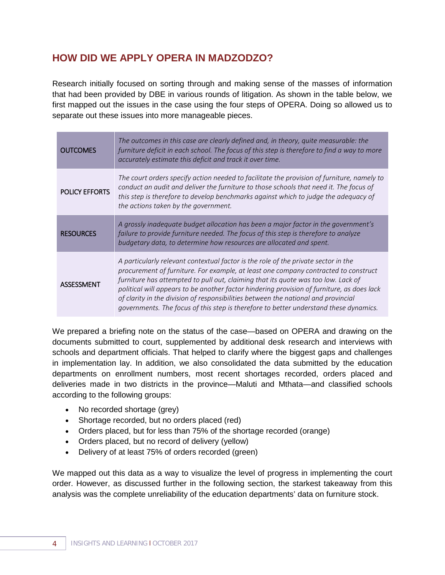## **HOW DID WE APPLY OPERA IN MADZODZO?**

Research initially focused on sorting through and making sense of the masses of information that had been provided by DBE in various rounds of litigation. As shown in the table below, we first mapped out the issues in the case using the four steps of OPERA. Doing so allowed us to separate out these issues into more manageable pieces.

| <b>OUTCOMES</b>       | The outcomes in this case are clearly defined and, in theory, quite measurable: the<br>furniture deficit in each school. The focus of this step is therefore to find a way to more<br>accurately estimate this deficit and track it over time.                                                                                                                                                                                                                                                                                              |
|-----------------------|---------------------------------------------------------------------------------------------------------------------------------------------------------------------------------------------------------------------------------------------------------------------------------------------------------------------------------------------------------------------------------------------------------------------------------------------------------------------------------------------------------------------------------------------|
| <b>POLICY EFFORTS</b> | The court orders specify action needed to facilitate the provision of furniture, namely to<br>conduct an audit and deliver the furniture to those schools that need it. The focus of<br>this step is therefore to develop benchmarks against which to judge the adequacy of<br>the actions taken by the government.                                                                                                                                                                                                                         |
| <b>RESOURCES</b>      | A grossly inadequate budget allocation has been a major factor in the government's<br>failure to provide furniture needed. The focus of this step is therefore to analyze<br>budgetary data, to determine how resources are allocated and spent.                                                                                                                                                                                                                                                                                            |
| ASSESSMENT            | A particularly relevant contextual factor is the role of the private sector in the<br>procurement of furniture. For example, at least one company contracted to construct<br>furniture has attempted to pull out, claiming that its quote was too low. Lack of<br>political will appears to be another factor hindering provision of furniture, as does lack<br>of clarity in the division of responsibilities between the national and provincial<br>governments. The focus of this step is therefore to better understand these dynamics. |

We prepared a briefing note on the status of the case—based on OPERA and drawing on the documents submitted to court, supplemented by additional desk research and interviews with schools and department officials. That helped to clarify where the biggest gaps and challenges in implementation lay. In addition, we also consolidated the data submitted by the education departments on enrollment numbers, most recent shortages recorded, orders placed and deliveries made in two districts in the province—Maluti and Mthata—and classified schools according to the following groups:

- No recorded shortage (grey)
- Shortage recorded, but no orders placed (red)
- Orders placed, but for less than 75% of the shortage recorded (orange)
- Orders placed, but no record of delivery (yellow)
- Delivery of at least 75% of orders recorded (green)

We mapped out this data as a way to visualize the level of progress in implementing the court order. However, as discussed further in the following section, the starkest takeaway from this analysis was the complete unreliability of the education departments' data on furniture stock.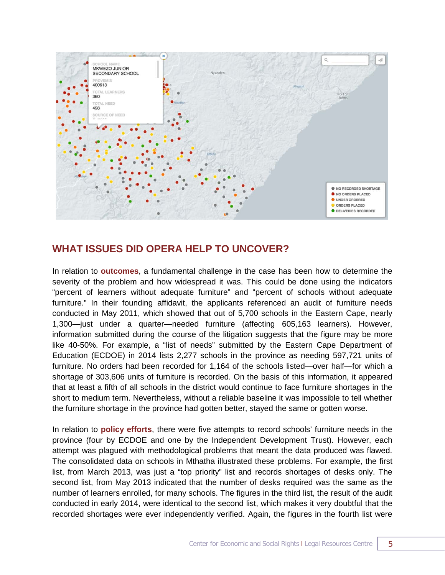

### **WHAT ISSUES DID OPERA HELP TO UNCOVER?**

In relation to **outcomes**, a fundamental challenge in the case has been how to determine the severity of the problem and how widespread it was. This could be done using the indicators "percent of learners without adequate furniture" and "percent of schools without adequate furniture." In their founding affidavit, the applicants referenced an audit of furniture needs conducted in May 2011, which showed that out of 5,700 schools in the Eastern Cape, nearly 1,300—just under a quarter—needed furniture (affecting 605,163 learners). However, information submitted during the course of the litigation suggests that the figure may be more like 40-50%. For example, a "list of needs" submitted by the Eastern Cape Department of Education (ECDOE) in 2014 lists 2,277 schools in the province as needing 597,721 units of furniture. No orders had been recorded for 1,164 of the schools listed—over half—for which a shortage of 303,606 units of furniture is recorded. On the basis of this information, it appeared that at least a fifth of all schools in the district would continue to face furniture shortages in the short to medium term. Nevertheless, without a reliable baseline it was impossible to tell whether the furniture shortage in the province had gotten better, stayed the same or gotten worse.

In relation to **policy efforts**, there were five attempts to record schools' furniture needs in the province (four by ECDOE and one by the Independent Development Trust). However, each attempt was plagued with methodological problems that meant the data produced was flawed. The consolidated data on schools in Mthatha illustrated these problems. For example, the first list, from March 2013, was just a "top priority" list and records shortages of desks only. The second list, from May 2013 indicated that the number of desks required was the same as the number of learners enrolled, for many schools. The figures in the third list, the result of the audit conducted in early 2014, were identical to the second list, which makes it very doubtful that the recorded shortages were ever independently verified. Again, the figures in the fourth list were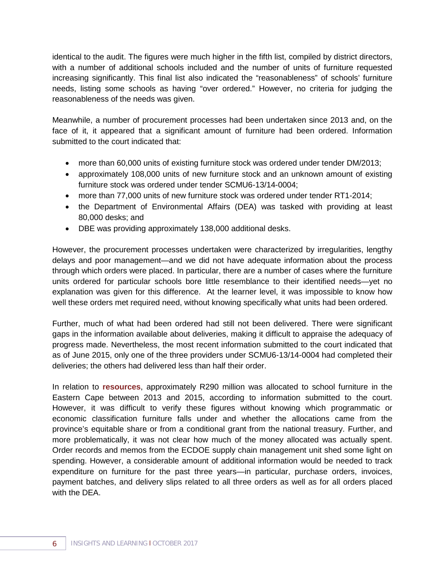identical to the audit. The figures were much higher in the fifth list, compiled by district directors, with a number of additional schools included and the number of units of furniture requested increasing significantly. This final list also indicated the "reasonableness" of schools' furniture needs, listing some schools as having "over ordered." However, no criteria for judging the reasonableness of the needs was given.

Meanwhile, a number of procurement processes had been undertaken since 2013 and, on the face of it, it appeared that a significant amount of furniture had been ordered. Information submitted to the court indicated that:

- more than 60,000 units of existing furniture stock was ordered under tender DM/2013;
- approximately 108,000 units of new furniture stock and an unknown amount of existing furniture stock was ordered under tender SCMU6-13/14-0004;
- more than 77,000 units of new furniture stock was ordered under tender RT1-2014;
- the Department of Environmental Affairs (DEA) was tasked with providing at least 80,000 desks; and
- DBE was providing approximately 138,000 additional desks.

However, the procurement processes undertaken were characterized by irregularities, lengthy delays and poor management—and we did not have adequate information about the process through which orders were placed. In particular, there are a number of cases where the furniture units ordered for particular schools bore little resemblance to their identified needs—yet no explanation was given for this difference. At the learner level, it was impossible to know how well these orders met required need, without knowing specifically what units had been ordered.

Further, much of what had been ordered had still not been delivered. There were significant gaps in the information available about deliveries, making it difficult to appraise the adequacy of progress made. Nevertheless, the most recent information submitted to the court indicated that as of June 2015, only one of the three providers under SCMU6-13/14-0004 had completed their deliveries; the others had delivered less than half their order.

In relation to **resources**, approximately R290 million was allocated to school furniture in the Eastern Cape between 2013 and 2015, according to information submitted to the court. However, it was difficult to verify these figures without knowing which programmatic or economic classification furniture falls under and whether the allocations came from the province's equitable share or from a conditional grant from the national treasury. Further, and more problematically, it was not clear how much of the money allocated was actually spent. Order records and memos from the ECDOE supply chain management unit shed some light on spending. However, a considerable amount of additional information would be needed to track expenditure on furniture for the past three years—in particular, purchase orders, invoices, payment batches, and delivery slips related to all three orders as well as for all orders placed with the DEA.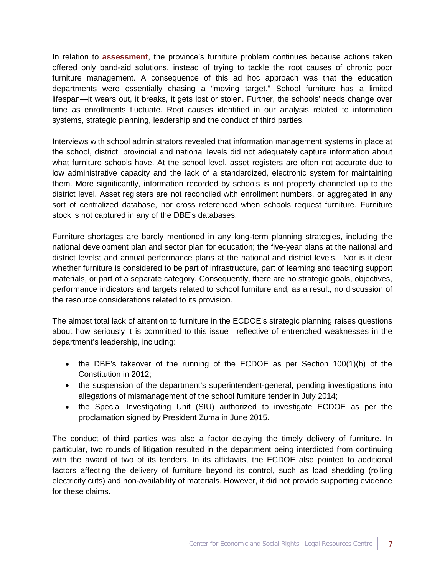In relation to **assessment**, the province's furniture problem continues because actions taken offered only band-aid solutions, instead of trying to tackle the root causes of chronic poor furniture management. A consequence of this ad hoc approach was that the education departments were essentially chasing a "moving target." School furniture has a limited lifespan—it wears out, it breaks, it gets lost or stolen. Further, the schools' needs change over time as enrollments fluctuate. Root causes identified in our analysis related to information systems, strategic planning, leadership and the conduct of third parties.

Interviews with school administrators revealed that information management systems in place at the school, district, provincial and national levels did not adequately capture information about what furniture schools have. At the school level, asset registers are often not accurate due to low administrative capacity and the lack of a standardized, electronic system for maintaining them. More significantly, information recorded by schools is not properly channeled up to the district level. Asset registers are not reconciled with enrollment numbers, or aggregated in any sort of centralized database, nor cross referenced when schools request furniture. Furniture stock is not captured in any of the DBE's databases.

Furniture shortages are barely mentioned in any long-term planning strategies, including the national development plan and sector plan for education; the five-year plans at the national and district levels; and annual performance plans at the national and district levels. Nor is it clear whether furniture is considered to be part of infrastructure, part of learning and teaching support materials, or part of a separate category. Consequently, there are no strategic goals, objectives, performance indicators and targets related to school furniture and, as a result, no discussion of the resource considerations related to its provision.

The almost total lack of attention to furniture in the ECDOE's strategic planning raises questions about how seriously it is committed to this issue—reflective of entrenched weaknesses in the department's leadership, including:

- the DBE's takeover of the running of the ECDOE as per Section 100(1)(b) of the Constitution in 2012;
- the suspension of the department's superintendent-general, pending investigations into allegations of mismanagement of the school furniture tender in July 2014;
- the Special Investigating Unit (SIU) authorized to investigate ECDOE as per the proclamation signed by President Zuma in June 2015.

The conduct of third parties was also a factor delaying the timely delivery of furniture. In particular, two rounds of litigation resulted in the department being interdicted from continuing with the award of two of its tenders. In its affidavits, the ECDOE also pointed to additional factors affecting the delivery of furniture beyond its control, such as load shedding (rolling electricity cuts) and non-availability of materials. However, it did not provide supporting evidence for these claims.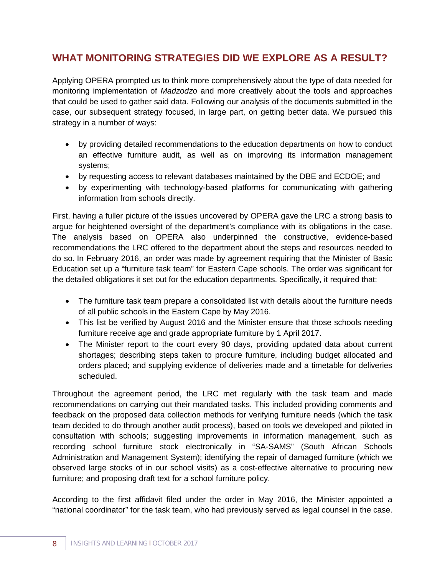## **WHAT MONITORING STRATEGIES DID WE EXPLORE AS A RESULT?**

Applying OPERA prompted us to think more comprehensively about the type of data needed for monitoring implementation of *Madzodzo* and more creatively about the tools and approaches that could be used to gather said data. Following our analysis of the documents submitted in the case, our subsequent strategy focused, in large part, on getting better data. We pursued this strategy in a number of ways:

- by providing detailed recommendations to the education departments on how to conduct an effective furniture audit, as well as on improving its information management systems;
- by requesting access to relevant databases maintained by the DBE and ECDOE; and
- by experimenting with technology-based platforms for communicating with gathering information from schools directly.

First, having a fuller picture of the issues uncovered by OPERA gave the LRC a strong basis to argue for heightened oversight of the department's compliance with its obligations in the case. The analysis based on OPERA also underpinned the constructive, evidence-based recommendations the LRC offered to the department about the steps and resources needed to do so. In February 2016, an order was made by agreement requiring that the Minister of Basic Education set up a "furniture task team" for Eastern Cape schools. The order was significant for the detailed obligations it set out for the education departments. Specifically, it required that:

- The furniture task team prepare a consolidated list with details about the furniture needs of all public schools in the Eastern Cape by May 2016.
- This list be verified by August 2016 and the Minister ensure that those schools needing furniture receive age and grade appropriate furniture by 1 April 2017.
- The Minister report to the court every 90 days, providing updated data about current shortages; describing steps taken to procure furniture, including budget allocated and orders placed; and supplying evidence of deliveries made and a timetable for deliveries scheduled.

Throughout the agreement period, the LRC met regularly with the task team and made recommendations on carrying out their mandated tasks. This included providing comments and feedback on the proposed data collection methods for verifying furniture needs (which the task team decided to do through another audit process), based on tools we developed and piloted in consultation with schools; suggesting improvements in information management, such as recording school furniture stock electronically in "SA-SAMS" (South African Schools Administration and Management System); identifying the repair of damaged furniture (which we observed large stocks of in our school visits) as a cost-effective alternative to procuring new furniture; and proposing draft text for a school furniture policy.

According to the first affidavit filed under the order in May 2016, the Minister appointed a "national coordinator" for the task team, who had previously served as legal counsel in the case.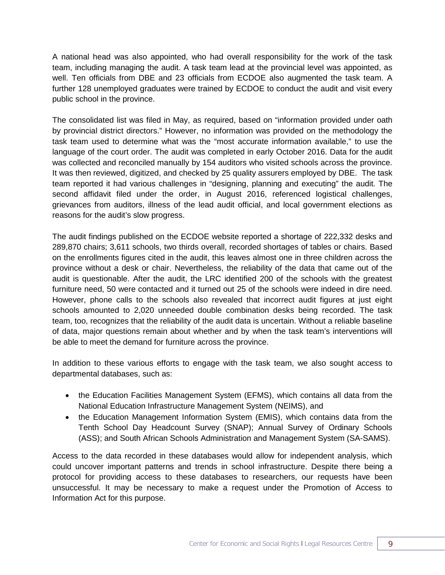A national head was also appointed, who had overall responsibility for the work of the task team, including managing the audit. A task team lead at the provincial level was appointed, as well. Ten officials from DBE and 23 officials from ECDOE also augmented the task team. A further 128 unemployed graduates were trained by ECDOE to conduct the audit and visit every public school in the province.

The consolidated list was filed in May, as required, based on "information provided under oath by provincial district directors." However, no information was provided on the methodology the task team used to determine what was the "most accurate information available," to use the language of the court order. The audit was completed in early October 2016. Data for the audit was collected and reconciled manually by 154 auditors who visited schools across the province. It was then reviewed, digitized, and checked by 25 quality assurers employed by DBE. The task team reported it had various challenges in "designing, planning and executing" the audit. The second affidavit filed under the order, in August 2016, referenced logistical challenges, grievances from auditors, illness of the lead audit official, and local government elections as reasons for the audit's slow progress.

The audit findings published on the ECDOE website reported a shortage of 222,332 desks and 289,870 chairs; 3,611 schools, two thirds overall, recorded shortages of tables or chairs. Based on the enrollments figures cited in the audit, this leaves almost one in three children across the province without a desk or chair. Nevertheless, the reliability of the data that came out of the audit is questionable. After the audit, the LRC identified 200 of the schools with the greatest furniture need, 50 were contacted and it turned out 25 of the schools were indeed in dire need. However, phone calls to the schools also revealed that incorrect audit figures at just eight schools amounted to 2,020 unneeded double combination desks being recorded. The task team, too, recognizes that the reliability of the audit data is uncertain. Without a reliable baseline of data, major questions remain about whether and by when the task team's interventions will be able to meet the demand for furniture across the province.

In addition to these various efforts to engage with the task team, we also sought access to departmental databases, such as:

- the Education Facilities Management System (EFMS), which contains all data from the National Education Infrastructure Management System (NEIMS), and
- the Education Management Information System (EMIS), which contains data from the Tenth School Day Headcount Survey (SNAP); Annual Survey of Ordinary Schools (ASS); and South African Schools Administration and Management System (SA-SAMS).

Access to the data recorded in these databases would allow for independent analysis, which could uncover important patterns and trends in school infrastructure. Despite there being a protocol for providing access to these databases to researchers, our requests have been unsuccessful. It may be necessary to make a request under the Promotion of Access to Information Act for this purpose.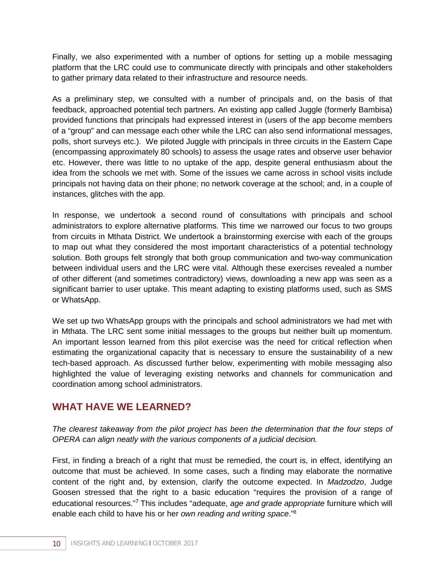Finally, we also experimented with a number of options for setting up a mobile messaging platform that the LRC could use to communicate directly with principals and other stakeholders to gather primary data related to their infrastructure and resource needs.

As a preliminary step, we consulted with a number of principals and, on the basis of that feedback, approached potential tech partners. An existing app called Juggle (formerly Bambisa) provided functions that principals had expressed interest in (users of the app become members of a "group" and can message each other while the LRC can also send informational messages, polls, short surveys etc.). We piloted Juggle with principals in three circuits in the Eastern Cape (encompassing approximately 80 schools) to assess the usage rates and observe user behavior etc. However, there was little to no uptake of the app, despite general enthusiasm about the idea from the schools we met with. Some of the issues we came across in school visits include principals not having data on their phone; no network coverage at the school; and, in a couple of instances, glitches with the app.

In response, we undertook a second round of consultations with principals and school administrators to explore alternative platforms. This time we narrowed our focus to two groups from circuits in Mthata District. We undertook a brainstorming exercise with each of the groups to map out what they considered the most important characteristics of a potential technology solution. Both groups felt strongly that both group communication and two-way communication between individual users and the LRC were vital. Although these exercises revealed a number of other different (and sometimes contradictory) views, downloading a new app was seen as a significant barrier to user uptake. This meant adapting to existing platforms used, such as SMS or WhatsApp.

We set up two WhatsApp groups with the principals and school administrators we had met with in Mthata. The LRC sent some initial messages to the groups but neither built up momentum. An important lesson learned from this pilot exercise was the need for critical reflection when estimating the organizational capacity that is necessary to ensure the sustainability of a new tech-based approach. As discussed further below, experimenting with mobile messaging also highlighted the value of leveraging existing networks and channels for communication and coordination among school administrators.

### **WHAT HAVE WE LEARNED?**

*The clearest takeaway from the pilot project has been the determination that the four steps of OPERA can align neatly with the various components of a judicial decision.*

First, in finding a breach of a right that must be remedied, the court is, in effect, identifying an outcome that must be achieved. In some cases, such a finding may elaborate the normative content of the right and, by extension, clarify the outcome expected. In *Madzodzo*, Judge Goosen stressed that the right to a basic education "requires the provision of a range of educational resources." <sup>7</sup> This includes "adequate, *age and grade appropriate* furniture which will enable each child to have his or her *own reading and writing space*." 8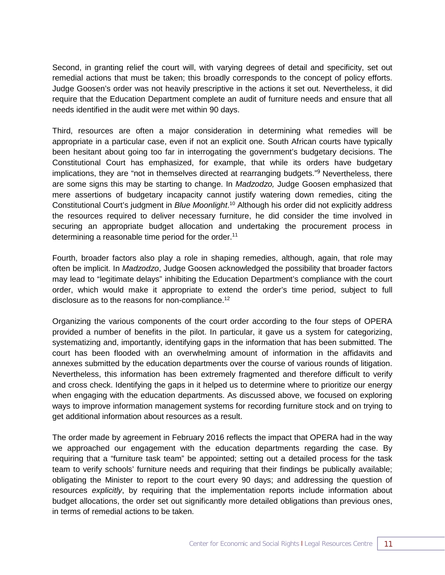Second, in granting relief the court will, with varying degrees of detail and specificity, set out remedial actions that must be taken; this broadly corresponds to the concept of policy efforts. Judge Goosen's order was not heavily prescriptive in the actions it set out. Nevertheless, it did require that the Education Department complete an audit of furniture needs and ensure that all needs identified in the audit were met within 90 days.

Third, resources are often a major consideration in determining what remedies will be appropriate in a particular case, even if not an explicit one. South African courts have typically been hesitant about going too far in interrogating the government's budgetary decisions. The Constitutional Court has emphasized, for example, that while its orders have budgetary implications, they are "not in themselves directed at rearranging budgets."<sup>9</sup> Nevertheless, there are some signs this may be starting to change. In *Madzodzo,* Judge Goosen emphasized that mere assertions of budgetary incapacity cannot justify watering down remedies, citing the Constitutional Court's judgment in *Blue Moonlight*. <sup>10</sup> Although his order did not explicitly address the resources required to deliver necessary furniture, he did consider the time involved in securing an appropriate budget allocation and undertaking the procurement process in determining a reasonable time period for the order.<sup>11</sup>

Fourth, broader factors also play a role in shaping remedies, although, again, that role may often be implicit. In *Madzodzo*, Judge Goosen acknowledged the possibility that broader factors may lead to "legitimate delays" inhibiting the Education Department's compliance with the court order, which would make it appropriate to extend the order's time period, subject to full disclosure as to the reasons for non-compliance.<sup>12</sup>

Organizing the various components of the court order according to the four steps of OPERA provided a number of benefits in the pilot. In particular, it gave us a system for categorizing, systematizing and, importantly, identifying gaps in the information that has been submitted. The court has been flooded with an overwhelming amount of information in the affidavits and annexes submitted by the education departments over the course of various rounds of litigation. Nevertheless, this information has been extremely fragmented and therefore difficult to verify and cross check. Identifying the gaps in it helped us to determine where to prioritize our energy when engaging with the education departments. As discussed above, we focused on exploring ways to improve information management systems for recording furniture stock and on trying to get additional information about resources as a result.

The order made by agreement in February 2016 reflects the impact that OPERA had in the way we approached our engagement with the education departments regarding the case. By requiring that a "furniture task team" be appointed; setting out a detailed process for the task team to verify schools' furniture needs and requiring that their findings be publically available; obligating the Minister to report to the court every 90 days; and addressing the question of resources *explicitly*, by requiring that the implementation reports include information about budget allocations, the order set out significantly more detailed obligations than previous ones, in terms of remedial actions to be taken.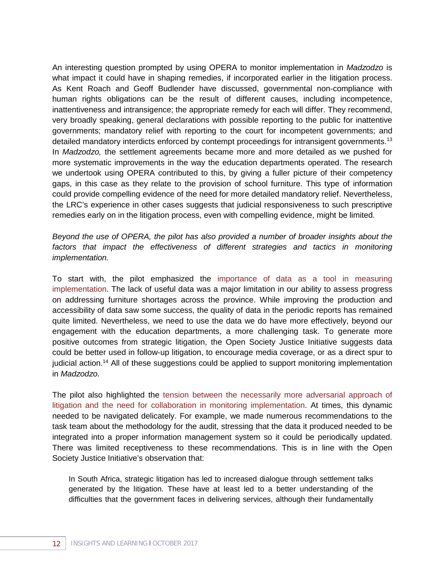An interesting question prompted by using OPERA to monitor implementation in *Madzodzo* is what impact it could have in shaping remedies, if incorporated earlier in the litigation process. As Kent Roach and Geoff Budlender have discussed, governmental non-compliance with human rights obligations can be the result of different causes, including incompetence, inattentiveness and intransigence; the appropriate remedy for each will differ. They recommend, very broadly speaking, general declarations with possible reporting to the public for inattentive governments; mandatory relief with reporting to the court for incompetent governments; and detailed mandatory interdicts enforced by contempt proceedings for intransigent governments.<sup>13</sup> In *Madzodzo,* the settlement agreements became more and more detailed as we pushed for more systematic improvements in the way the education departments operated. The research we undertook using OPERA contributed to this, by giving a fuller picture of their competency gaps, in this case as they relate to the provision of school furniture. This type of information could provide compelling evidence of the need for more detailed mandatory relief. Nevertheless, the LRC's experience in other cases suggests that judicial responsiveness to such prescriptive remedies early on in the litigation process, even with compelling evidence, might be limited.

*Beyond the use of OPERA, the pilot has also provided a number of broader insights about the*  factors that impact the effectiveness of different strategies and tactics in monitoring *implementation.*

To start with, the pilot emphasized the importance of data as a tool in measuring implementation. The lack of useful data was a major limitation in our ability to assess progress on addressing furniture shortages across the province. While improving the production and accessibility of data saw some success, the quality of data in the periodic reports has remained quite limited. Nevertheless, we need to use the data we do have more effectively, beyond our engagement with the education departments, a more challenging task. To generate more positive outcomes from strategic litigation, the Open Society Justice Initiative suggests data could be better used in follow-up litigation, to encourage media coverage, or as a direct spur to judicial action.<sup>14</sup> All of these suggestions could be applied to support monitoring implementation in *Madzodzo.* 

The pilot also highlighted the tension between the necessarily more adversarial approach of litigation and the need for collaboration in monitoring implementation. At times, this dynamic needed to be navigated delicately. For example, we made numerous recommendations to the task team about the methodology for the audit, stressing that the data it produced needed to be integrated into a proper information management system so it could be periodically updated. There was limited receptiveness to these recommendations. This is in line with the Open Society Justice Initiative's observation that:

In South Africa, strategic litigation has led to increased dialogue through settlement talks generated by the litigation. These have at least led to a better understanding of the difficulties that the government faces in delivering services, although their fundamentally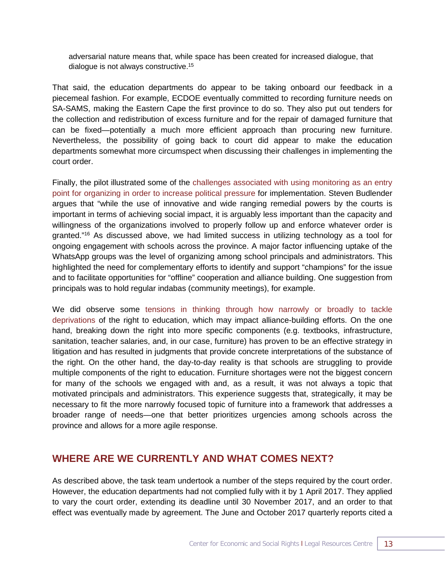adversarial nature means that, while space has been created for increased dialogue, that dialogue is not always constructive.15

That said, the education departments do appear to be taking onboard our feedback in a piecemeal fashion. For example, ECDOE eventually committed to recording furniture needs on SA-SAMS, making the Eastern Cape the first province to do so. They also put out tenders for the collection and redistribution of excess furniture and for the repair of damaged furniture that can be fixed—potentially a much more efficient approach than procuring new furniture. Nevertheless, the possibility of going back to court did appear to make the education departments somewhat more circumspect when discussing their challenges in implementing the court order.

Finally, the pilot illustrated some of the challenges associated with using monitoring as an entry point for organizing in order to increase political pressure for implementation. Steven Budlender argues that "while the use of innovative and wide ranging remedial powers by the courts is important in terms of achieving social impact, it is arguably less important than the capacity and willingness of the organizations involved to properly follow up and enforce whatever order is granted." <sup>16</sup> As discussed above, we had limited success in utilizing technology as a tool for ongoing engagement with schools across the province. A major factor influencing uptake of the WhatsApp groups was the level of organizing among school principals and administrators. This highlighted the need for complementary efforts to identify and support "champions" for the issue and to facilitate opportunities for "offline" cooperation and alliance building. One suggestion from principals was to hold regular indabas (community meetings), for example.

We did observe some tensions in thinking through how narrowly or broadly to tackle deprivations of the right to education, which may impact alliance-building efforts. On the one hand, breaking down the right into more specific components (e.g. textbooks, infrastructure, sanitation, teacher salaries, and, in our case, furniture) has proven to be an effective strategy in litigation and has resulted in judgments that provide concrete interpretations of the substance of the right. On the other hand, the day-to-day reality is that schools are struggling to provide multiple components of the right to education. Furniture shortages were not the biggest concern for many of the schools we engaged with and, as a result, it was not always a topic that motivated principals and administrators. This experience suggests that, strategically, it may be necessary to fit the more narrowly focused topic of furniture into a framework that addresses a broader range of needs—one that better prioritizes urgencies among schools across the province and allows for a more agile response.

### **WHERE ARE WE CURRENTLY AND WHAT COMES NEXT?**

As described above, the task team undertook a number of the steps required by the court order. However, the education departments had not complied fully with it by 1 April 2017. They applied to vary the court order, extending its deadline until 30 November 2017, and an order to that effect was eventually made by agreement. The June and October 2017 quarterly reports cited a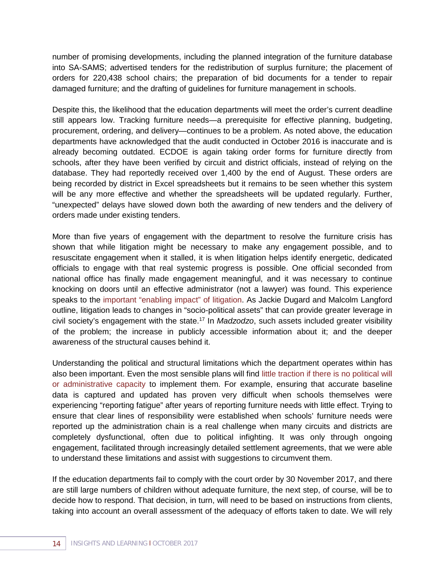number of promising developments, including the planned integration of the furniture database into SA-SAMS; advertised tenders for the redistribution of surplus furniture; the placement of orders for 220,438 school chairs; the preparation of bid documents for a tender to repair damaged furniture; and the drafting of guidelines for furniture management in schools.

Despite this, the likelihood that the education departments will meet the order's current deadline still appears low. Tracking furniture needs—a prerequisite for effective planning, budgeting, procurement, ordering, and delivery—continues to be a problem. As noted above, the education departments have acknowledged that the audit conducted in October 2016 is inaccurate and is already becoming outdated. ECDOE is again taking order forms for furniture directly from schools, after they have been verified by circuit and district officials, instead of relying on the database. They had reportedly received over 1,400 by the end of August. These orders are being recorded by district in Excel spreadsheets but it remains to be seen whether this system will be any more effective and whether the spreadsheets will be updated regularly. Further, "unexpected" delays have slowed down both the awarding of new tenders and the delivery of orders made under existing tenders.

More than five years of engagement with the department to resolve the furniture crisis has shown that while litigation might be necessary to make any engagement possible, and to resuscitate engagement when it stalled, it is when litigation helps identify energetic, dedicated officials to engage with that real systemic progress is possible. One official seconded from national office has finally made engagement meaningful, and it was necessary to continue knocking on doors until an effective administrator (not a lawyer) was found. This experience speaks to the important "enabling impact" of litigation. As Jackie Dugard and Malcolm Langford outline, litigation leads to changes in "socio-political assets" that can provide greater leverage in civil society's engagement with the state.17 In *Madzodzo*, such assets included greater visibility of the problem; the increase in publicly accessible information about it; and the deeper awareness of the structural causes behind it.

Understanding the political and structural limitations which the department operates within has also been important. Even the most sensible plans will find little traction if there is no political will or administrative capacity to implement them. For example, ensuring that accurate baseline data is captured and updated has proven very difficult when schools themselves were experiencing "reporting fatigue" after years of reporting furniture needs with little effect. Trying to ensure that clear lines of responsibility were established when schools' furniture needs were reported up the administration chain is a real challenge when many circuits and districts are completely dysfunctional, often due to political infighting. It was only through ongoing engagement, facilitated through increasingly detailed settlement agreements, that we were able to understand these limitations and assist with suggestions to circumvent them.

If the education departments fail to comply with the court order by 30 November 2017, and there are still large numbers of children without adequate furniture, the next step, of course, will be to decide how to respond. That decision, in turn, will need to be based on instructions from clients, taking into account an overall assessment of the adequacy of efforts taken to date. We will rely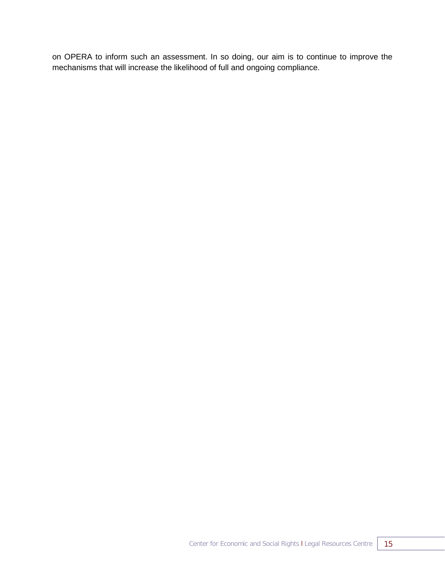on OPERA to inform such an assessment. In so doing, our aim is to continue to improve the mechanisms that will increase the likelihood of full and ongoing compliance.